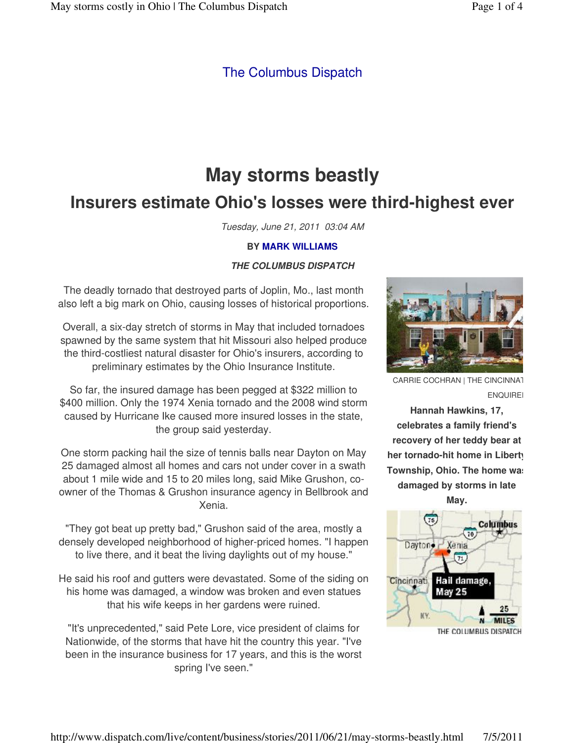## The Columbus Dispatch

# **May storms beastly Insurers estimate Ohio's losses were third-highest ever**

Tuesday, June 21, 2011 03:04 AM

### **BY MARK WILLIAMS**

### **THE COLUMBUS DISPATCH**

The deadly tornado that destroyed parts of Joplin, Mo., last month also left a big mark on Ohio, causing losses of historical proportions.

Overall, a six-day stretch of storms in May that included tornadoes spawned by the same system that hit Missouri also helped produce the third-costliest natural disaster for Ohio's insurers, according to preliminary estimates by the Ohio Insurance Institute.

So far, the insured damage has been pegged at \$322 million to \$400 million. Only the 1974 Xenia tornado and the 2008 wind storm caused by Hurricane Ike caused more insured losses in the state, the group said yesterday.

One storm packing hail the size of tennis balls near Dayton on May 25 damaged almost all homes and cars not under cover in a swath about 1 mile wide and 15 to 20 miles long, said Mike Grushon, coowner of the Thomas & Grushon insurance agency in Bellbrook and Xenia.

"They got beat up pretty bad," Grushon said of the area, mostly a densely developed neighborhood of higher-priced homes. "I happen to live there, and it beat the living daylights out of my house."

He said his roof and gutters were devastated. Some of the siding on his home was damaged, a window was broken and even statues that his wife keeps in her gardens were ruined.

"It's unprecedented," said Pete Lore, vice president of claims for Nationwide, of the storms that have hit the country this year. "I've been in the insurance business for 17 years, and this is the worst spring I've seen."



CARRIE COCHRAN | THE CINCINNATI **ENQUIREI** 

**Hannah Hawkins, 17, celebrates a family friend's recovery of her teddy bear at her tornado-hit home in Liberty Township, Ohio. The home was damaged by storms in late** 

**May.**

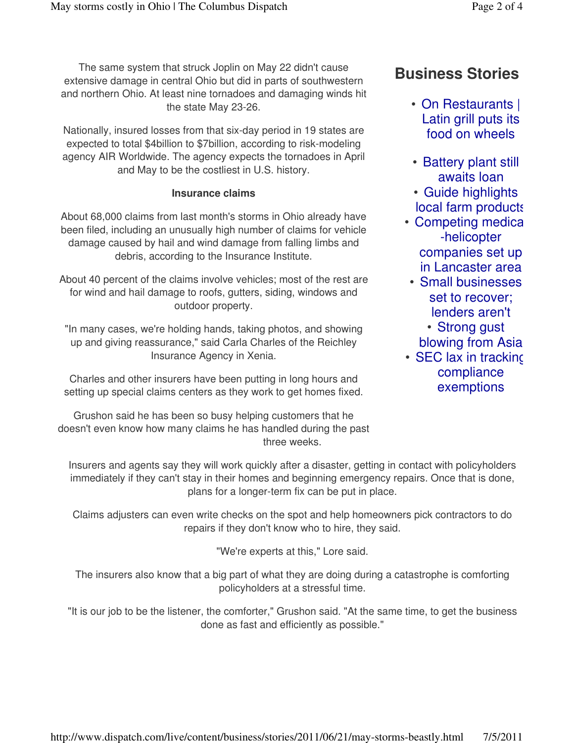The same system that struck Joplin on May 22 didn't cause extensive damage in central Ohio but did in parts of southwestern and northern Ohio. At least nine tornadoes and damaging winds hit the state May 23-26.

Nationally, insured losses from that six-day period in 19 states are expected to total \$4billion to \$7billion, according to risk-modeling agency AIR Worldwide. The agency expects the tornadoes in April and May to be the costliest in U.S. history.

### **Insurance claims**

About 68,000 claims from last month's storms in Ohio already have been filed, including an unusually high number of claims for vehicle damage caused by hail and wind damage from falling limbs and debris, according to the Insurance Institute.

About 40 percent of the claims involve vehicles; most of the rest are for wind and hail damage to roofs, gutters, siding, windows and outdoor property.

"In many cases, we're holding hands, taking photos, and showing up and giving reassurance," said Carla Charles of the Reichley Insurance Agency in Xenia.

Charles and other insurers have been putting in long hours and setting up special claims centers as they work to get homes fixed.

Grushon said he has been so busy helping customers that he doesn't even know how many claims he has handled during the past three weeks.

# **Business Stories**

- On Restaurants | Latin grill puts its food on wheels
- Battery plant still awaits loan
- Guide highlights local farm products
- Competing medica -helicopter companies set up in Lancaster area
- Small businesses set to recover; lenders aren't Strong gust •
	- blowing from Asia
- SEC lax in trackin $\mathfrak c$ compliance exemptions

Insurers and agents say they will work quickly after a disaster, getting in contact with policyholders immediately if they can't stay in their homes and beginning emergency repairs. Once that is done, plans for a longer-term fix can be put in place.

Claims adjusters can even write checks on the spot and help homeowners pick contractors to do repairs if they don't know who to hire, they said.

"We're experts at this," Lore said.

The insurers also know that a big part of what they are doing during a catastrophe is comforting policyholders at a stressful time.

"It is our job to be the listener, the comforter," Grushon said. "At the same time, to get the business done as fast and efficiently as possible."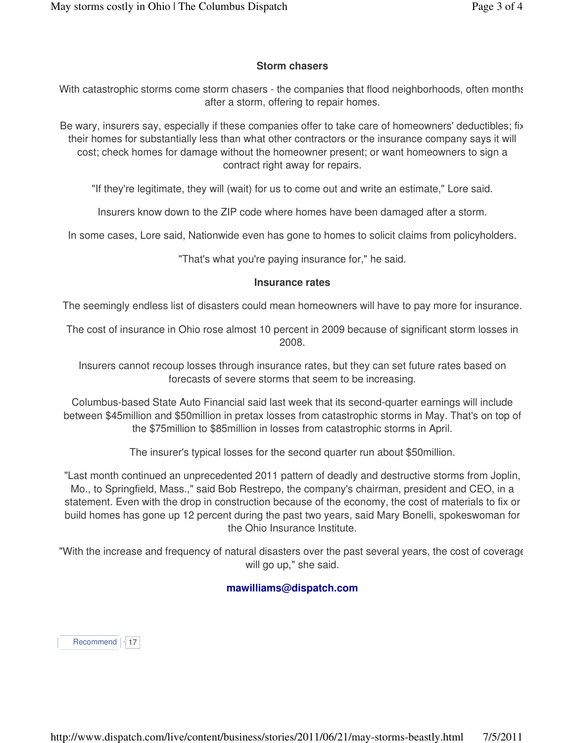### **Storm chasers**

With catastrophic storms come storm chasers - the companies that flood neighborhoods, often months after a storm, offering to repair homes.

Be wary, insurers say, especially if these companies offer to take care of homeowners' deductibles; fix their homes for substantially less than what other contractors or the insurance company says it will cost; check homes for damage without the homeowner present; or want homeowners to sign a contract right away for repairs.

"If they're legitimate, they will (wait) for us to come out and write an estimate," Lore said.

Insurers know down to the ZIP code where homes have been damaged after a storm.

In some cases, Lore said, Nationwide even has gone to homes to solicit claims from policyholders.

"That's what you're paying insurance for," he said.

#### **Insurance rates**

The seemingly endless list of disasters could mean homeowners will have to pay more for insurance.

The cost of insurance in Ohio rose almost 10 percent in 2009 because of significant storm losses in 2008.

Insurers cannot recoup losses through insurance rates, but they can set future rates based on forecasts of severe storms that seem to be increasing.

Columbus-based State Auto Financial said last week that its second-quarter earnings will include between \$45million and \$50million in pretax losses from catastrophic storms in May. That's on top of the \$75million to \$85million in losses from catastrophic storms in April.

The insurer's typical losses for the second quarter run about \$50million.

"Last month continued an unprecedented 2011 pattern of deadly and destructive storms from Joplin, Mo., to Springfield, Mass.," said Bob Restrepo, the company's chairman, president and CEO, in a statement. Even with the drop in construction because of the economy, the cost of materials to fix or build homes has gone up 12 percent during the past two years, said Mary Bonelli, spokeswoman for the Ohio Insurance Institute.

"With the increase and frequency of natural disasters over the past several years, the cost of coverage will go up," she said.

### **mawilliams@dispatch.com**

Recommend  $17$